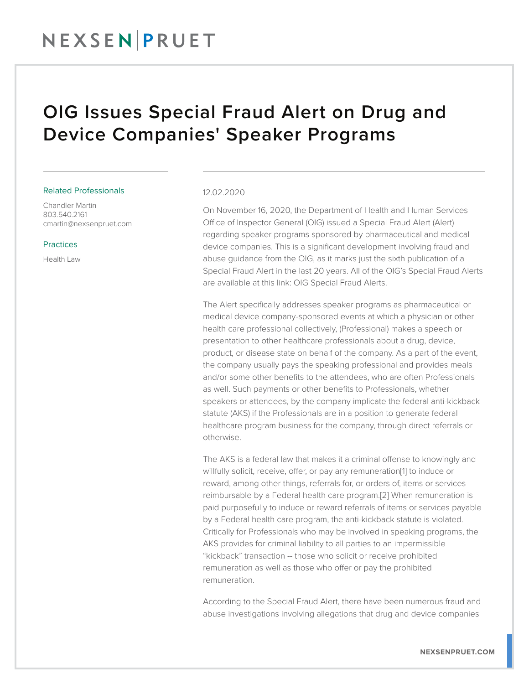### NEXSENPRUET

### OIG Issues Special Fraud Alert on Drug and Device Companies' Speaker Programs

#### Related Professionals

Chandler Martin 803.540.2161 cmartin@nexsenpruet.com

#### Practices

Health Law

#### 12.02.2020

On November 16, 2020, the Department of Health and Human Services Office of Inspector General (OIG) issued a Special Fraud Alert (Alert) regarding speaker programs sponsored by pharmaceutical and medical device companies. This is a significant development involving fraud and abuse guidance from the OIG, as it marks just the sixth publication of a Special Fraud Alert in the last 20 years. All of the OIG's Special Fraud Alerts are available at this link: OIG Special Fraud Alerts.

The Alert specifically addresses speaker programs as pharmaceutical or medical device company-sponsored events at which a physician or other health care professional collectively, (Professional) makes a speech or presentation to other healthcare professionals about a drug, device, product, or disease state on behalf of the company. As a part of the event, the company usually pays the speaking professional and provides meals and/or some other benefits to the attendees, who are often Professionals as well. Such payments or other benefits to Professionals, whether speakers or attendees, by the company implicate the federal anti-kickback statute (AKS) if the Professionals are in a position to generate federal healthcare program business for the company, through direct referrals or otherwise.

The AKS is a federal law that makes it a criminal offense to knowingly and willfully solicit, receive, offer, or pay any remuneration[1] to induce or reward, among other things, referrals for, or orders of, items or services reimbursable by a Federal health care program.[2] When remuneration is paid purposefully to induce or reward referrals of items or services payable by a Federal health care program, the anti-kickback statute is violated. Critically for Professionals who may be involved in speaking programs, the AKS provides for criminal liability to all parties to an impermissible "kickback" transaction -- those who solicit or receive prohibited remuneration as well as those who offer or pay the prohibited remuneration.

According to the Special Fraud Alert, there have been numerous fraud and abuse investigations involving allegations that drug and device companies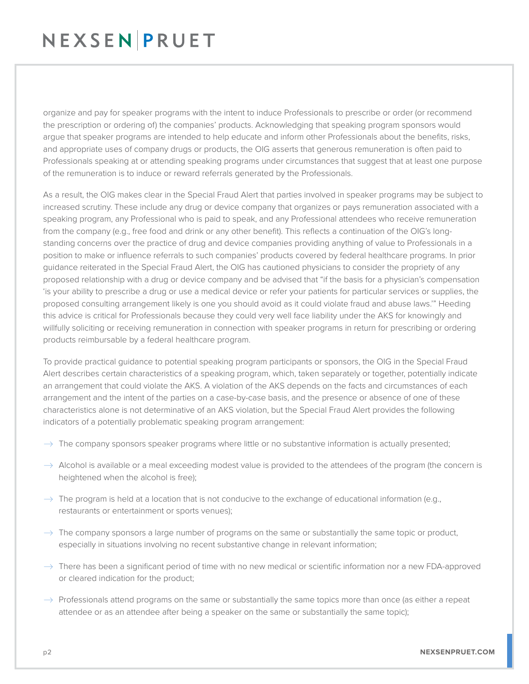## NEXSENPRUET

organize and pay for speaker programs with the intent to induce Professionals to prescribe or order (or recommend the prescription or ordering of) the companies' products. Acknowledging that speaking program sponsors would argue that speaker programs are intended to help educate and inform other Professionals about the benefits, risks, and appropriate uses of company drugs or products, the OIG asserts that generous remuneration is often paid to Professionals speaking at or attending speaking programs under circumstances that suggest that at least one purpose of the remuneration is to induce or reward referrals generated by the Professionals.

As a result, the OIG makes clear in the Special Fraud Alert that parties involved in speaker programs may be subject to increased scrutiny. These include any drug or device company that organizes or pays remuneration associated with a speaking program, any Professional who is paid to speak, and any Professional attendees who receive remuneration from the company (e.g., free food and drink or any other benefit). This reflects a continuation of the OIG's longstanding concerns over the practice of drug and device companies providing anything of value to Professionals in a position to make or influence referrals to such companies' products covered by federal healthcare programs. In prior guidance reiterated in the Special Fraud Alert, the OIG has cautioned physicians to consider the propriety of any proposed relationship with a drug or device company and be advised that "if the basis for a physician's compensation 'is your ability to prescribe a drug or use a medical device or refer your patients for particular services or supplies, the proposed consulting arrangement likely is one you should avoid as it could violate fraud and abuse laws.'" Heeding this advice is critical for Professionals because they could very well face liability under the AKS for knowingly and willfully soliciting or receiving remuneration in connection with speaker programs in return for prescribing or ordering products reimbursable by a federal healthcare program.

To provide practical guidance to potential speaking program participants or sponsors, the OIG in the Special Fraud Alert describes certain characteristics of a speaking program, which, taken separately or together, potentially indicate an arrangement that could violate the AKS. A violation of the AKS depends on the facts and circumstances of each arrangement and the intent of the parties on a case-by-case basis, and the presence or absence of one of these characteristics alone is not determinative of an AKS violation, but the Special Fraud Alert provides the following indicators of a potentially problematic speaking program arrangement:

- $\rightarrow$  The company sponsors speaker programs where little or no substantive information is actually presented;
- $\rightarrow$  Alcohol is available or a meal exceeding modest value is provided to the attendees of the program (the concern is heightened when the alcohol is free);
- $\rightarrow$  The program is held at a location that is not conducive to the exchange of educational information (e.g., restaurants or entertainment or sports venues);
- $\rightarrow$  The company sponsors a large number of programs on the same or substantially the same topic or product, especially in situations involving no recent substantive change in relevant information;
- $\rightarrow$  There has been a significant period of time with no new medical or scientific information nor a new FDA-approved or cleared indication for the product;
- $\rightarrow$  Professionals attend programs on the same or substantially the same topics more than once (as either a repeat attendee or as an attendee after being a speaker on the same or substantially the same topic);